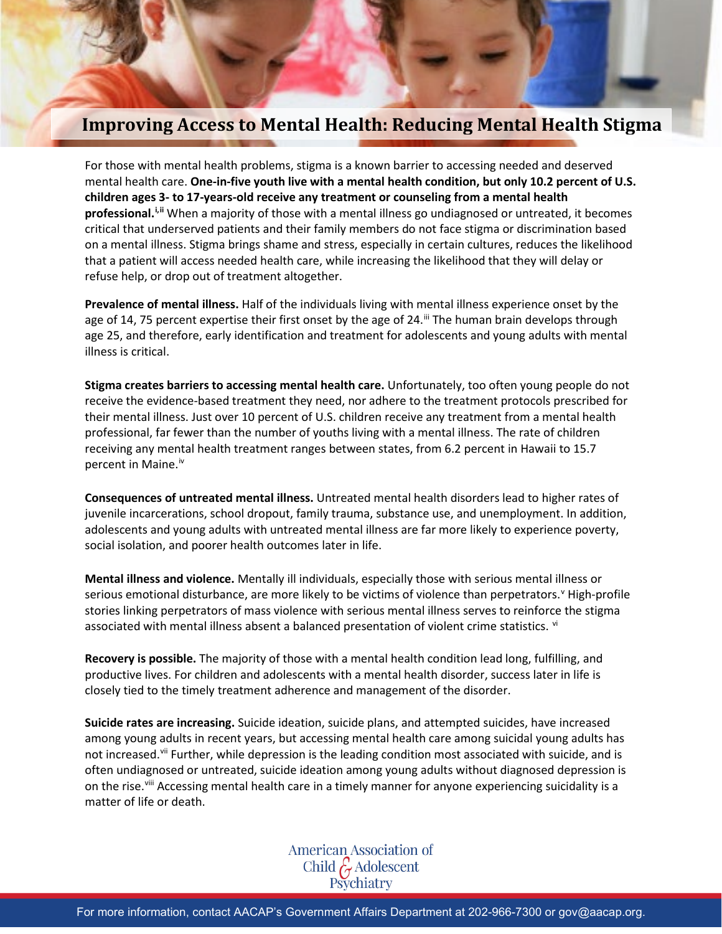## **Improving Access to Mental Health: Reducing Mental Health Stigma**

For those with mental health problems, stigma is a known barrier to accessing needed and deserved mental health care. **One-in-five youth live with a mental health condition, but only 10.2 percent of U.S. children ages 3- to 17-years-old receive any treatment or counseling from a mental health professional.[i](#page-1-0),[ii](#page-1-1)** When a majority of those with a mental illness go undiagnosed or untreated, it becomes critical that underserved patients and their family members do not face stigma or discrimination based on a mental illness. Stigma brings shame and stress, especially in certain cultures, reduces the likelihood that a patient will access needed health care, while increasing the likelihood that they will delay or refuse help, or drop out of treatment altogether.

**Prevalence of mental illness.** Half of the individuals living with mental illness experience onset by the age of 14, 75 percent expertise their first onset by the age of 24.<sup>[iii](#page-1-2)</sup> The human brain develops through age 25, and therefore, early identification and treatment for adolescents and young adults with mental illness is critical.

**Stigma creates barriers to accessing mental health care.** Unfortunately, too often young people do not receive the evidence-based treatment they need, nor adhere to the treatment protocols prescribed for their mental illness. Just over 10 percent of U.S. children receive any treatment from a mental health professional, far fewer than the number of youths living with a mental illness. The rate of children receiving any mental health treatment ranges between states, from 6.2 percent in Hawaii to 15.7 percent in Maine.<sup>[iv](#page-1-3)</sup>

**Consequences of untreated mental illness.** Untreated mental health disorders lead to higher rates of juvenile incarcerations, school dropout, family trauma, substance use, and unemployment. In addition, adolescents and young adults with untreated mental illness are far more likely to experience poverty, social isolation, and poorer health outcomes later in life.

**Mental illness and violence.** Mentally ill individuals, especially those with serious mental illness or serious emotional disturbance, are more likely to be [v](#page-1-4)ictims of violence than perpetrators.<sup>v</sup> High-profile stories linking perpetrators of mass violence with serious mental illness serves to reinforce the stigma associated with mental illness absent a balanced presentation of [vi](#page-1-5)olent crime statistics. vi

**Recovery is possible.** The majority of those with a mental health condition lead long, fulfilling, and productive lives. For children and adolescents with a mental health disorder, success later in life is closely tied to the timely treatment adherence and management of the disorder.

**Suicide rates are increasing.** Suicide ideation, suicide plans, and attempted suicides, have increased among young adults in recent years, but accessing mental health care among suicidal young adults has not increased.<sup>[vii](#page-1-6)</sup> Further, while depression is the leading condition most associated with suicide, and is often undiagnosed or untreated, suicide ideation among young adults without diagnosed depression is on the rise.<sup>[viii](#page-1-7)</sup> Accessing mental health care in a timely manner for anyone experiencing suicidality is a matter of life or death.

American Association of<br>Child G Adolescent<br>Psychiatry